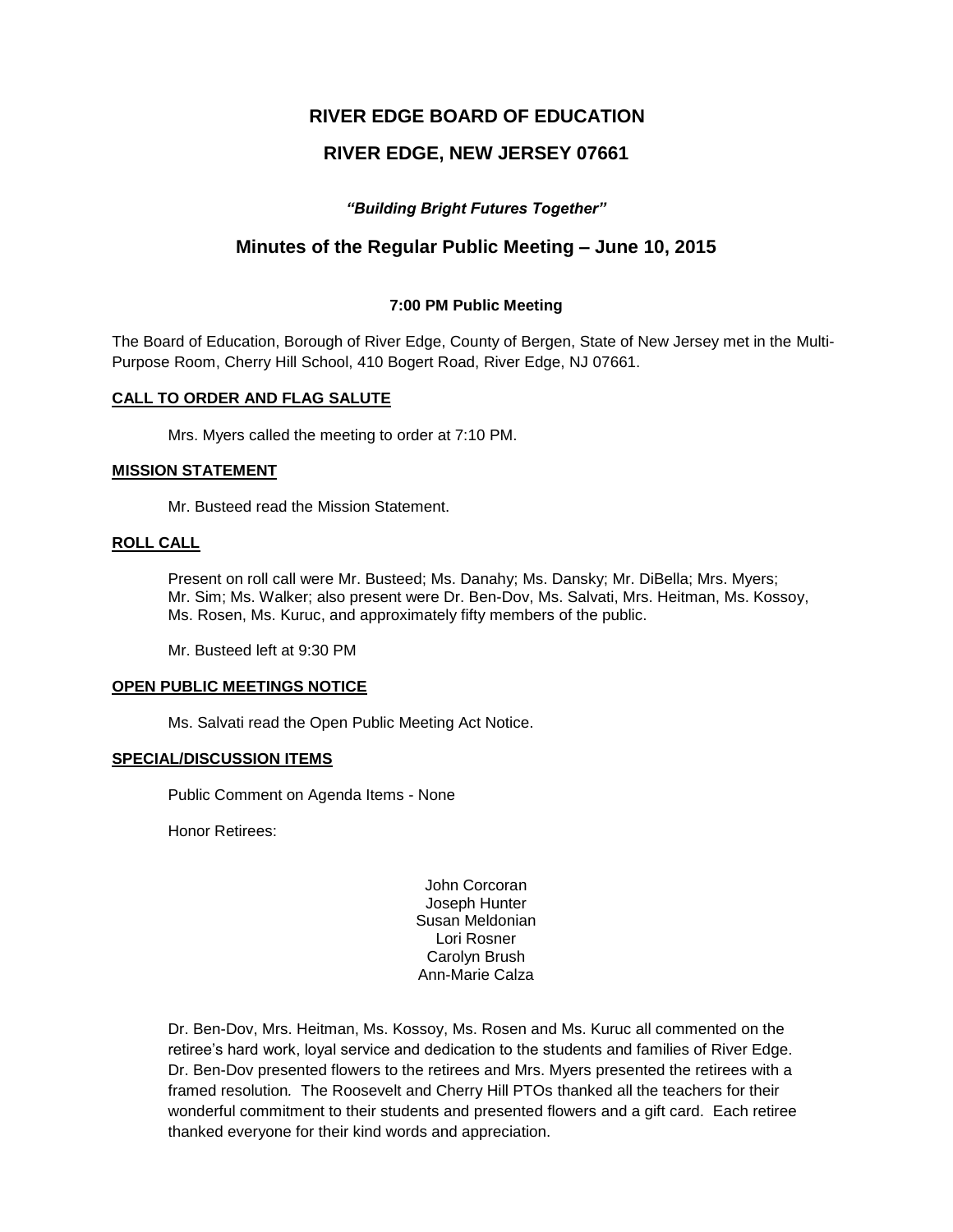# **RIVER EDGE BOARD OF EDUCATION**

# **RIVER EDGE, NEW JERSEY 07661**

## *"Building Bright Futures Together"*

# **Minutes of the Regular Public Meeting – June 10, 2015**

### **7:00 PM Public Meeting**

The Board of Education, Borough of River Edge, County of Bergen, State of New Jersey met in the Multi-Purpose Room, Cherry Hill School, 410 Bogert Road, River Edge, NJ 07661.

### **CALL TO ORDER AND FLAG SALUTE**

Mrs. Myers called the meeting to order at 7:10 PM.

#### **MISSION STATEMENT**

Mr. Busteed read the Mission Statement.

## **ROLL CALL**

Present on roll call were Mr. Busteed; Ms. Danahy; Ms. Dansky; Mr. DiBella; Mrs. Myers; Mr. Sim; Ms. Walker; also present were Dr. Ben-Dov, Ms. Salvati, Mrs. Heitman, Ms. Kossoy, Ms. Rosen, Ms. Kuruc, and approximately fifty members of the public.

Mr. Busteed left at 9:30 PM

#### **OPEN PUBLIC MEETINGS NOTICE**

Ms. Salvati read the Open Public Meeting Act Notice.

#### **SPECIAL/DISCUSSION ITEMS**

Public Comment on Agenda Items - None

Honor Retirees:

John Corcoran Joseph Hunter Susan Meldonian Lori Rosner Carolyn Brush Ann-Marie Calza

Dr. Ben-Dov, Mrs. Heitman, Ms. Kossoy, Ms. Rosen and Ms. Kuruc all commented on the retiree's hard work, loyal service and dedication to the students and families of River Edge. Dr. Ben-Dov presented flowers to the retirees and Mrs. Myers presented the retirees with a framed resolution*.* The Roosevelt and Cherry Hill PTOs thanked all the teachers for their wonderful commitment to their students and presented flowers and a gift card. Each retiree thanked everyone for their kind words and appreciation.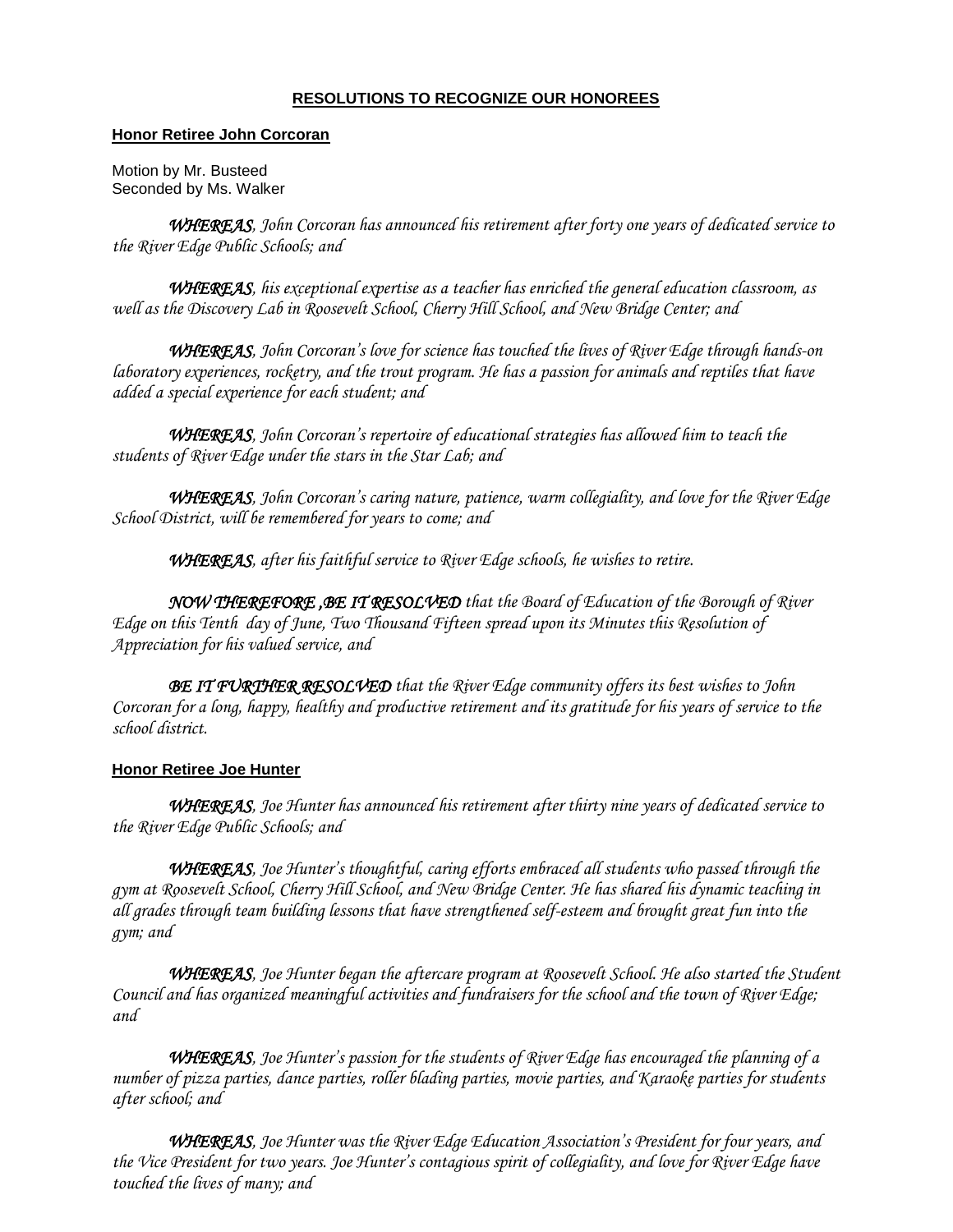## **RESOLUTIONS TO RECOGNIZE OUR HONOREES**

### **Honor Retiree John Corcoran**

Motion by Mr. Busteed Seconded by Ms. Walker

 *WHEREAS, John Corcoran has announced his retirement after forty one years of dedicated service to the River Edge Public Schools; and* 

*WHEREAS, his exceptional expertise as a teacher has enriched the general education classroom, as well as the Discovery Lab in Roosevelt School, Cherry Hill School, and New Bridge Center; and*

*WHEREAS, John Corcoran's love for science has touched the lives of River Edge through hands-on laboratory experiences, rocketry, and the trout program. He has a passion for animals and reptiles that have added a special experience for each student; and*

*WHEREAS, John Corcoran's repertoire of educational strategies has allowed him to teach the students of River Edge under the stars in the Star Lab; and*

 *WHEREAS, John Corcoran's caring nature, patience, warm collegiality, and love for the River Edge School District, will be remembered for years to come; and*

*WHEREAS, after his faithful service to River Edge schools, he wishes to retire.*

 *NOW THEREFORE ,BE IT RESOLVED that the Board of Education of the Borough of River Edge on this Tenth day of June, Two Thousand Fifteen spread upon its Minutes this Resolution of Appreciation for his valued service, and*

 *BE IT FURTHER RESOLVED that the River Edge community offers its best wishes to John Corcoran for a long, happy, healthy and productive retirement and its gratitude for his years of service to the school district.*

## **Honor Retiree Joe Hunter**

 *WHEREAS, Joe Hunter has announced his retirement after thirty nine years of dedicated service to the River Edge Public Schools; and* 

*WHEREAS, Joe Hunter's thoughtful, caring efforts embraced all students who passed through the gym at Roosevelt School, Cherry Hill School, and New Bridge Center. He has shared his dynamic teaching in all grades through team building lessons that have strengthened self-esteem and brought great fun into the gym; and*

*WHEREAS, Joe Hunter began the aftercare program at Roosevelt School. He also started the Student Council and has organized meaningful activities and fundraisers for the school and the town of River Edge; and*

*WHEREAS, Joe Hunter's passion for the students of River Edge has encouraged the planning of a number of pizza parties, dance parties, roller blading parties, movie parties, and Karaoke parties for students after school; and*

 *WHEREAS, Joe Hunter was the River Edge Education Association's President for four years, and the Vice President for two years. Joe Hunter's contagious spirit of collegiality, and love for River Edge have touched the lives of many; and*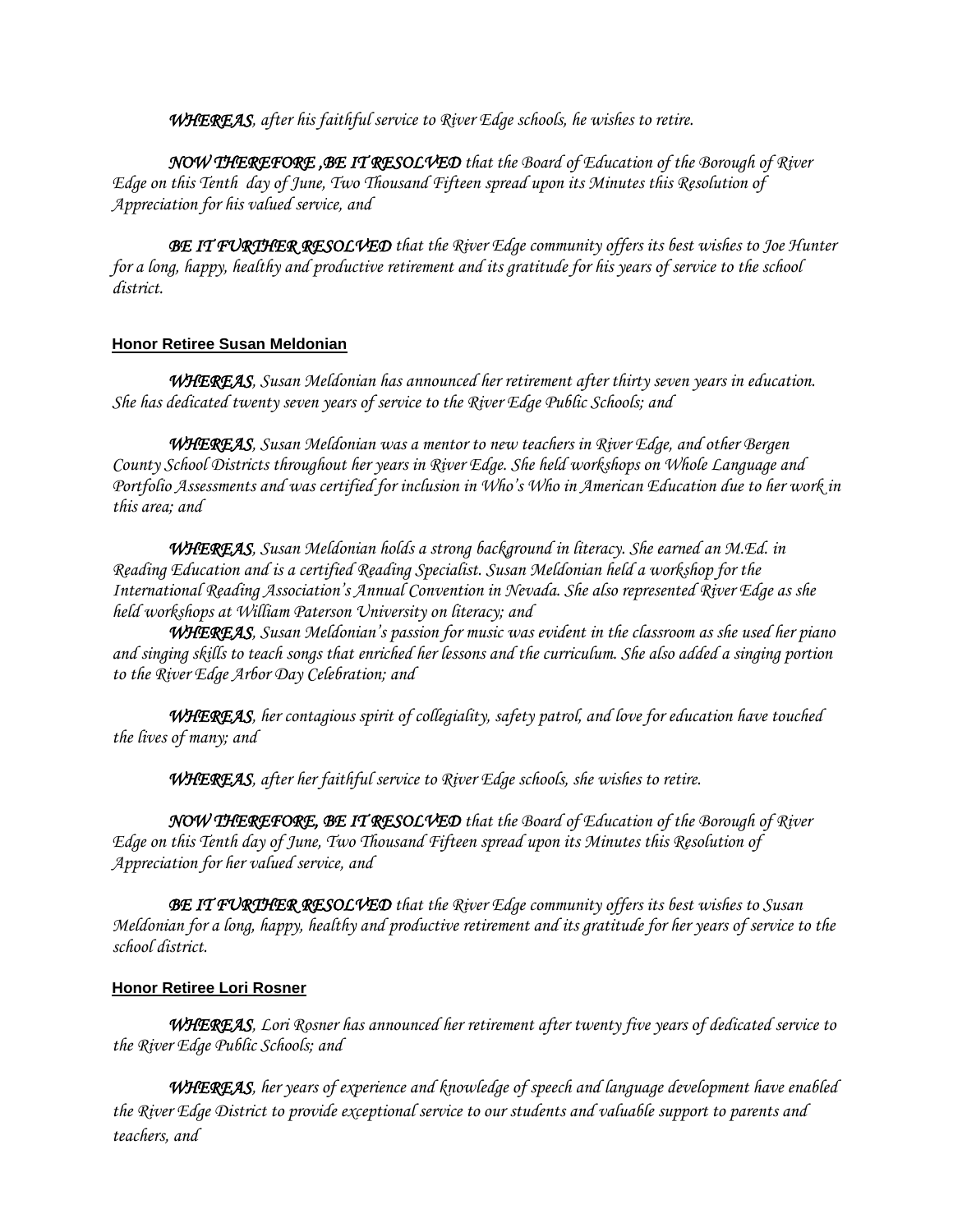*WHEREAS, after his faithful service to River Edge schools, he wishes to retire.*

 *NOW THEREFORE ,BE IT RESOLVED that the Board of Education of the Borough of River Edge on this Tenth day of June, Two Thousand Fifteen spread upon its Minutes this Resolution of Appreciation for his valued service, and*

 *BE IT FURTHER RESOLVED that the River Edge community offers its best wishes to Joe Hunter for a long, happy, healthy and productive retirement and its gratitude for his years of service to the school district.*

## **Honor Retiree Susan Meldonian**

 *WHEREAS, Susan Meldonian has announced her retirement after thirty seven years in education. She has dedicated twenty seven years of service to the River Edge Public Schools; and* 

*WHEREAS, Susan Meldonian was a mentor to new teachers in River Edge, and other Bergen County School Districts throughout her years in River Edge. She held workshops on Whole Language and Portfolio Assessments and was certified for inclusion in Who's Who in American Education due to her work in this area; and* 

*WHEREAS, Susan Meldonian holds a strong background in literacy. She earned an M.Ed. in Reading Education and is a certified Reading Specialist. Susan Meldonian held a workshop for the International Reading Association's Annual Convention in Nevada. She also represented River Edge as she held workshops at William Paterson University on literacy; and*

*WHEREAS, Susan Meldonian's passion for music was evident in the classroom as she used her piano and singing skills to teach songs that enriched her lessons and the curriculum. She also added a singing portion to the River Edge Arbor Day Celebration; and* 

 *WHEREAS, her contagious spirit of collegiality, safety patrol, and love for education have touched the lives of many; and*

 *WHEREAS, after her faithful service to River Edge schools, she wishes to retire.*

 *NOW THEREFORE, BE IT RESOLVED that the Board of Education of the Borough of River Edge on this Tenth day of June, Two Thousand Fifteen spread upon its Minutes this Resolution of Appreciation for her valued service, and*

 *BE IT FURTHER RESOLVED that the River Edge community offers its best wishes to Susan Meldonian for a long, happy, healthy and productive retirement and its gratitude for her years of service to the school district.*

## **Honor Retiree Lori Rosner**

*WHEREAS, Lori Rosner has announced her retirement after twenty five years of dedicated service to the River Edge Public Schools; and*

 *WHEREAS, her years of experience and knowledge of speech and language development have enabled the River Edge District to provide exceptional service to our students and valuable support to parents and teachers, and*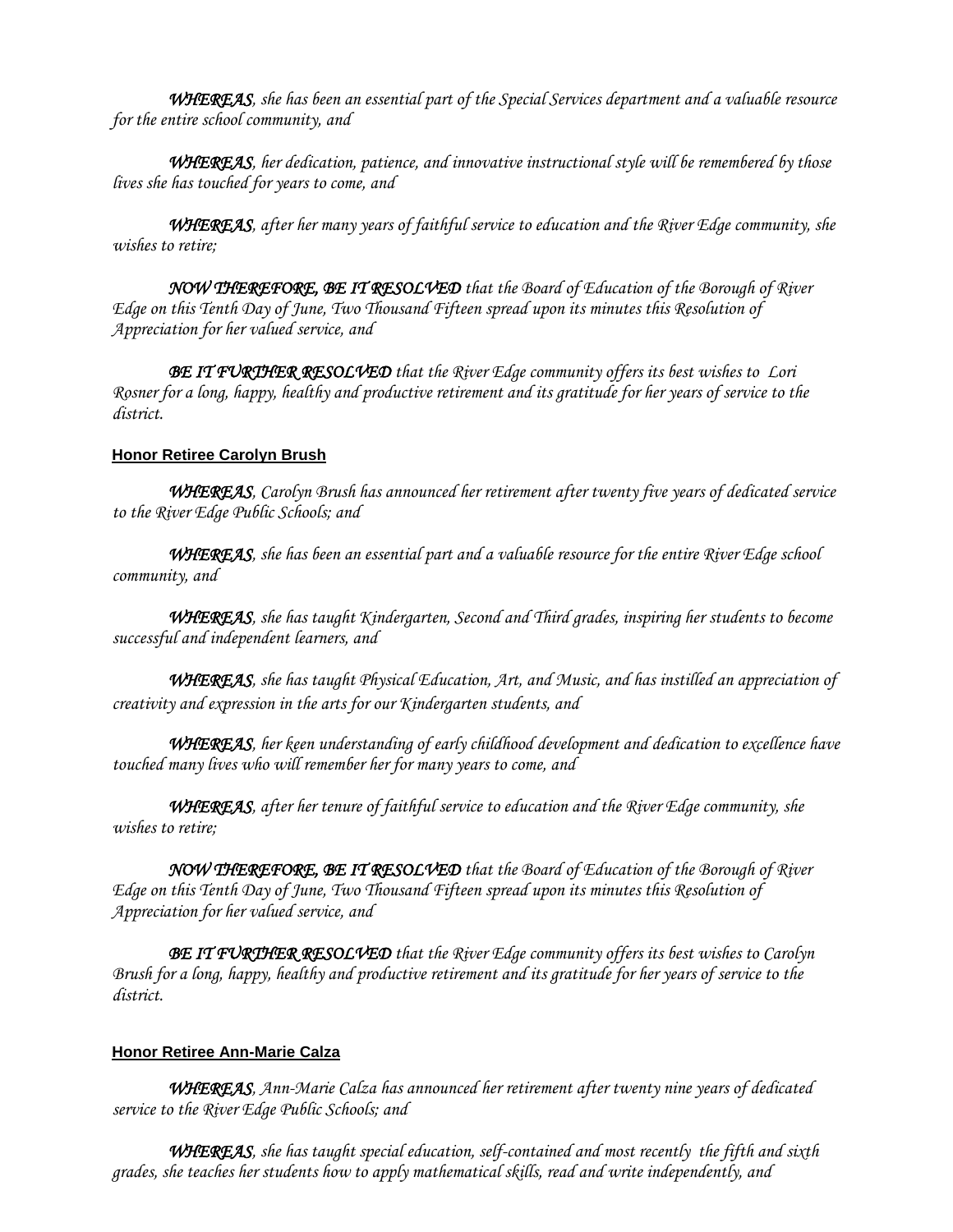*WHEREAS, she has been an essential part of the Special Services department and a valuable resource for the entire school community, and*

*WHEREAS, her dedication, patience, and innovative instructional style will be remembered by those lives she has touched for years to come, and*

*WHEREAS, after her many years of faithful service to education and the River Edge community, she wishes to retire;*

*NOW THEREFORE, BE IT RESOLVED that the Board of Education of the Borough of River Edge on this Tenth Day of June, Two Thousand Fifteen spread upon its minutes this Resolution of Appreciation for her valued service, and*

*BE IT FURTHER RESOLVED that the River Edge community offers its best wishes to Lori Rosner for a long, happy, healthy and productive retirement and its gratitude for her years of service to the district.* 

## **Honor Retiree Carolyn Brush**

*WHEREAS, Carolyn Brush has announced her retirement after twenty five years of dedicated service to the River Edge Public Schools; and*

*WHEREAS, she has been an essential part and a valuable resource for the entire River Edge school community, and*

*WHEREAS, she has taught Kindergarten, Second and Third grades, inspiring her students to become successful and independent learners, and*

 *WHEREAS, she has taught Physical Education, Art, and Music, and has instilled an appreciation of creativity and expression in the arts for our Kindergarten students, and* 

*WHEREAS, her keen understanding of early childhood development and dedication to excellence have touched many lives who will remember her for many years to come, and*

*WHEREAS, after her tenure of faithful service to education and the River Edge community, she wishes to retire;*

*NOW THEREFORE, BE IT RESOLVED that the Board of Education of the Borough of River Edge on this Tenth Day of June, Two Thousand Fifteen spread upon its minutes this Resolution of Appreciation for her valued service, and*

*BE IT FURTHER RESOLVED that the River Edge community offers its best wishes to Carolyn Brush for a long, happy, healthy and productive retirement and its gratitude for her years of service to the district.* 

## **Honor Retiree Ann-Marie Calza**

*WHEREAS, Ann-Marie Calza has announced her retirement after twenty nine years of dedicated service to the River Edge Public Schools; and*

*WHEREAS, she has taught special education, self-contained and most recently the fifth and sixth grades, she teaches her students how to apply mathematical skills, read and write independently, and*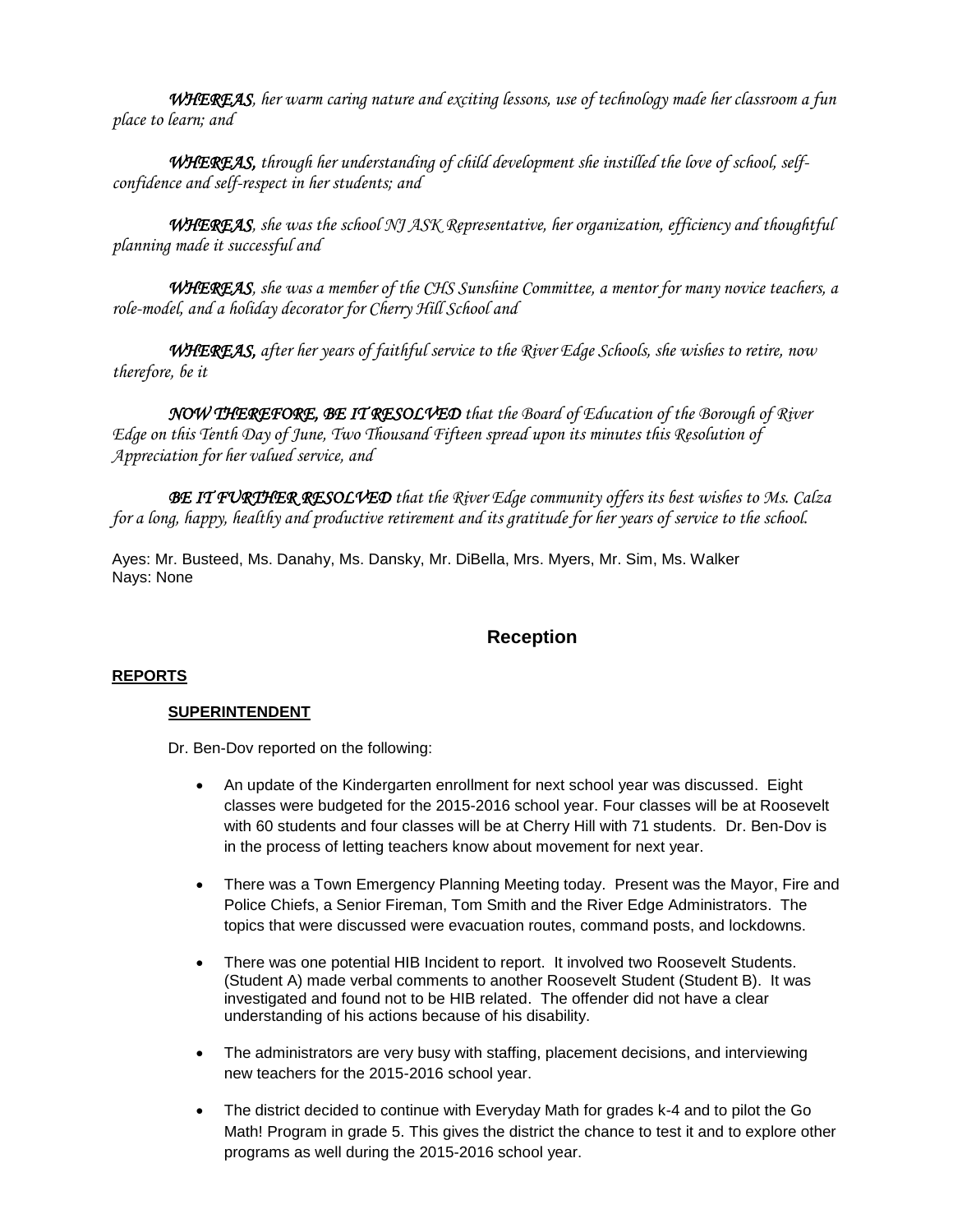*WHEREAS, her warm caring nature and exciting lessons, use of technology made her classroom a fun place to learn; and* 

*WHEREAS, through her understanding of child development she instilled the love of school, selfconfidence and self-respect in her students; and*

*WHEREAS, she was the school NJ ASK Representative, her organization, efficiency and thoughtful planning made it successful and*

*WHEREAS, she was a member of the CHS Sunshine Committee, a mentor for many novice teachers, a role-model, and a holiday decorator for Cherry Hill School and*

*WHEREAS, after her years of faithful service to the River Edge Schools, she wishes to retire, now therefore, be it*

*NOW THEREFORE, BE IT RESOLVED that the Board of Education of the Borough of River Edge on this Tenth Day of June, Two Thousand Fifteen spread upon its minutes this Resolution of Appreciation for her valued service, and*

*BE IT FURTHER RESOLVED that the River Edge community offers its best wishes to Ms. Calza for a long, happy, healthy and productive retirement and its gratitude for her years of service to the school.* 

Ayes: Mr. Busteed, Ms. Danahy, Ms. Dansky, Mr. DiBella, Mrs. Myers, Mr. Sim, Ms. Walker Nays: None

# **Reception**

## **REPORTS**

#### **SUPERINTENDENT**

Dr. Ben-Dov reported on the following:

- An update of the Kindergarten enrollment for next school year was discussed. Eight classes were budgeted for the 2015-2016 school year. Four classes will be at Roosevelt with 60 students and four classes will be at Cherry Hill with 71 students. Dr. Ben-Dov is in the process of letting teachers know about movement for next year.
- There was a Town Emergency Planning Meeting today. Present was the Mayor, Fire and Police Chiefs, a Senior Fireman, Tom Smith and the River Edge Administrators. The topics that were discussed were evacuation routes, command posts, and lockdowns.
- There was one potential HIB Incident to report. It involved two Roosevelt Students. (Student A) made verbal comments to another Roosevelt Student (Student B). It was investigated and found not to be HIB related. The offender did not have a clear understanding of his actions because of his disability.
- The administrators are very busy with staffing, placement decisions, and interviewing new teachers for the 2015-2016 school year.
- The district decided to continue with Everyday Math for grades k-4 and to pilot the Go Math! Program in grade 5. This gives the district the chance to test it and to explore other programs as well during the 2015-2016 school year.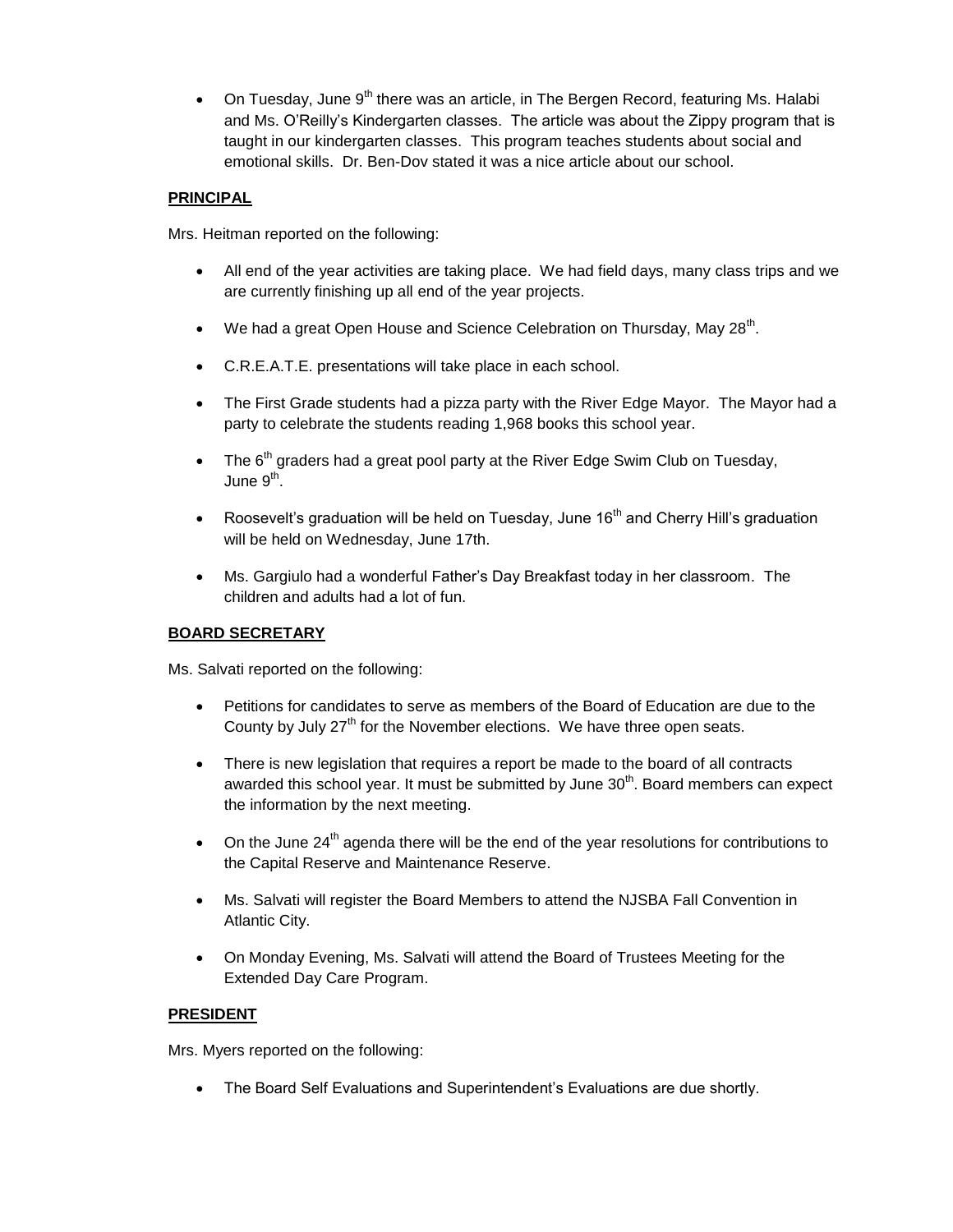• On Tuesday, June  $9<sup>th</sup>$  there was an article, in The Bergen Record, featuring Ms. Halabi and Ms. O'Reilly's Kindergarten classes. The article was about the Zippy program that is taught in our kindergarten classes. This program teaches students about social and emotional skills. Dr. Ben-Dov stated it was a nice article about our school.

## **PRINCIPAL**

Mrs. Heitman reported on the following:

- All end of the year activities are taking place. We had field days, many class trips and we are currently finishing up all end of the year projects.
- We had a great Open House and Science Celebration on Thursday, May 28<sup>th</sup>.
- C.R.E.A.T.E. presentations will take place in each school.
- The First Grade students had a pizza party with the River Edge Mayor. The Mayor had a party to celebrate the students reading 1,968 books this school year.
- The  $6<sup>th</sup>$  graders had a great pool party at the River Edge Swim Club on Tuesday, June 9<sup>th</sup>.
- Roosevelt's graduation will be held on Tuesday, June  $16<sup>th</sup>$  and Cherry Hill's graduation will be held on Wednesday, June 17th.
- Ms. Gargiulo had a wonderful Father's Day Breakfast today in her classroom. The children and adults had a lot of fun.

## **BOARD SECRETARY**

Ms. Salvati reported on the following:

- Petitions for candidates to serve as members of the Board of Education are due to the County by July  $27<sup>th</sup>$  for the November elections. We have three open seats.
- There is new legislation that requires a report be made to the board of all contracts awarded this school year. It must be submitted by June  $30<sup>th</sup>$ . Board members can expect the information by the next meeting.
- $\bullet$  On the June 24<sup>th</sup> agenda there will be the end of the year resolutions for contributions to the Capital Reserve and Maintenance Reserve.
- Ms. Salvati will register the Board Members to attend the NJSBA Fall Convention in Atlantic City.
- On Monday Evening, Ms. Salvati will attend the Board of Trustees Meeting for the Extended Day Care Program.

## **PRESIDENT**

Mrs. Myers reported on the following:

The Board Self Evaluations and Superintendent's Evaluations are due shortly.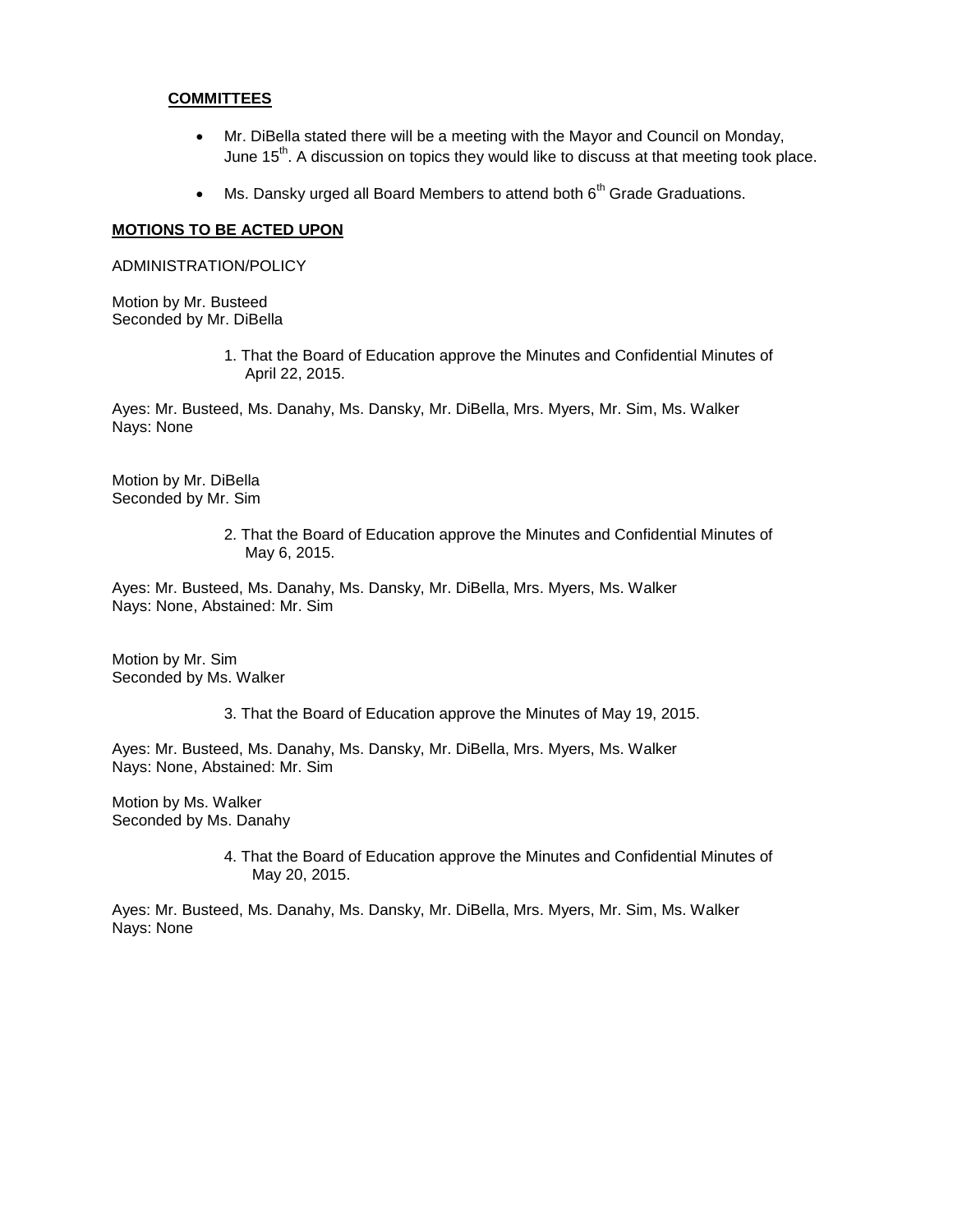#### **COMMITTEES**

- Mr. DiBella stated there will be a meeting with the Mayor and Council on Monday, June  $15<sup>th</sup>$ . A discussion on topics they would like to discuss at that meeting took place.
- $\bullet$  Ms. Dansky urged all Board Members to attend both  $6<sup>th</sup>$  Grade Graduations.

#### **MOTIONS TO BE ACTED UPON**

ADMINISTRATION/POLICY

Motion by Mr. Busteed Seconded by Mr. DiBella

> 1. That the Board of Education approve the Minutes and Confidential Minutes of April 22, 2015.

Ayes: Mr. Busteed, Ms. Danahy, Ms. Dansky, Mr. DiBella, Mrs. Myers, Mr. Sim, Ms. Walker Nays: None

Motion by Mr. DiBella Seconded by Mr. Sim

> 2. That the Board of Education approve the Minutes and Confidential Minutes of May 6, 2015.

Ayes: Mr. Busteed, Ms. Danahy, Ms. Dansky, Mr. DiBella, Mrs. Myers, Ms. Walker Nays: None, Abstained: Mr. Sim

Motion by Mr. Sim Seconded by Ms. Walker

3. That the Board of Education approve the Minutes of May 19, 2015.

Ayes: Mr. Busteed, Ms. Danahy, Ms. Dansky, Mr. DiBella, Mrs. Myers, Ms. Walker Nays: None, Abstained: Mr. Sim

Motion by Ms. Walker Seconded by Ms. Danahy

> 4. That the Board of Education approve the Minutes and Confidential Minutes of May 20, 2015.

Ayes: Mr. Busteed, Ms. Danahy, Ms. Dansky, Mr. DiBella, Mrs. Myers, Mr. Sim, Ms. Walker Nays: None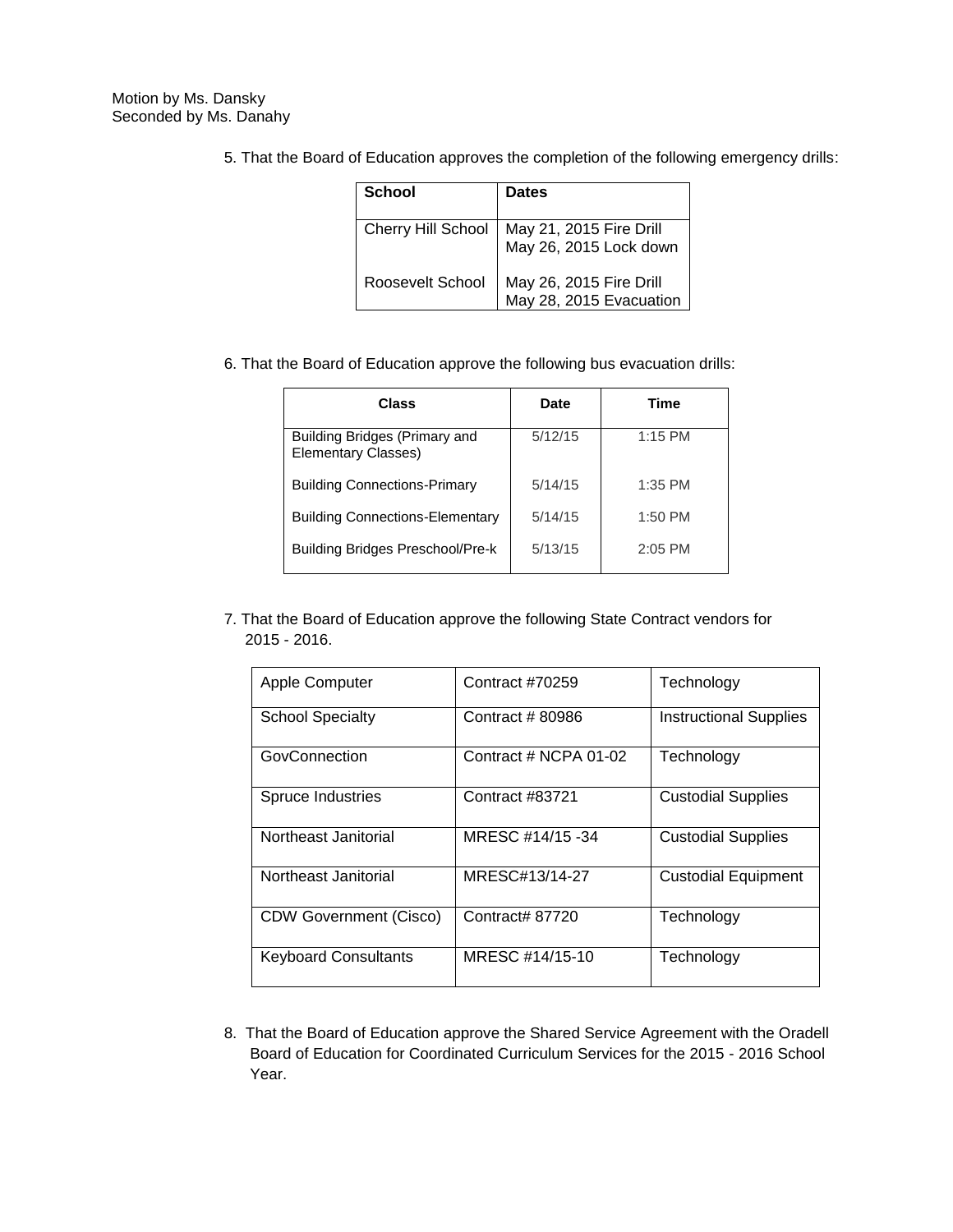| <b>School</b>      | Dates                                              |
|--------------------|----------------------------------------------------|
| Cherry Hill School | May 21, 2015 Fire Drill<br>May 26, 2015 Lock down  |
| Roosevelt School   | May 26, 2015 Fire Drill<br>May 28, 2015 Evacuation |

5. That the Board of Education approves the completion of the following emergency drills:

6. That the Board of Education approve the following bus evacuation drills:

| Class                                                | Date    | Time      |
|------------------------------------------------------|---------|-----------|
| Building Bridges (Primary and<br>Elementary Classes) | 5/12/15 | $1:15$ PM |
| <b>Building Connections-Primary</b>                  | 5/14/15 | $1:35$ PM |
| <b>Building Connections-Elementary</b>               | 5/14/15 | $1:50$ PM |
| <b>Building Bridges Preschool/Pre-k</b>              | 5/13/15 | $2:05$ PM |

7. That the Board of Education approve the following State Contract vendors for 2015 - 2016.

| Apple Computer                | Contract #70259       | Technology                    |
|-------------------------------|-----------------------|-------------------------------|
| <b>School Specialty</b>       | Contract # 80986      | <b>Instructional Supplies</b> |
| GovConnection                 | Contract # NCPA 01-02 | Technology                    |
| Spruce Industries             | Contract #83721       | <b>Custodial Supplies</b>     |
| Northeast Janitorial          | MRESC #14/15 -34      | <b>Custodial Supplies</b>     |
| Northeast Janitorial          | MRESC#13/14-27        | <b>Custodial Equipment</b>    |
| <b>CDW Government (Cisco)</b> | Contract# 87720       | Technology                    |
| <b>Keyboard Consultants</b>   | MRESC #14/15-10       | Technology                    |

8. That the Board of Education approve the Shared Service Agreement with the Oradell Board of Education for Coordinated Curriculum Services for the 2015 - 2016 School Year.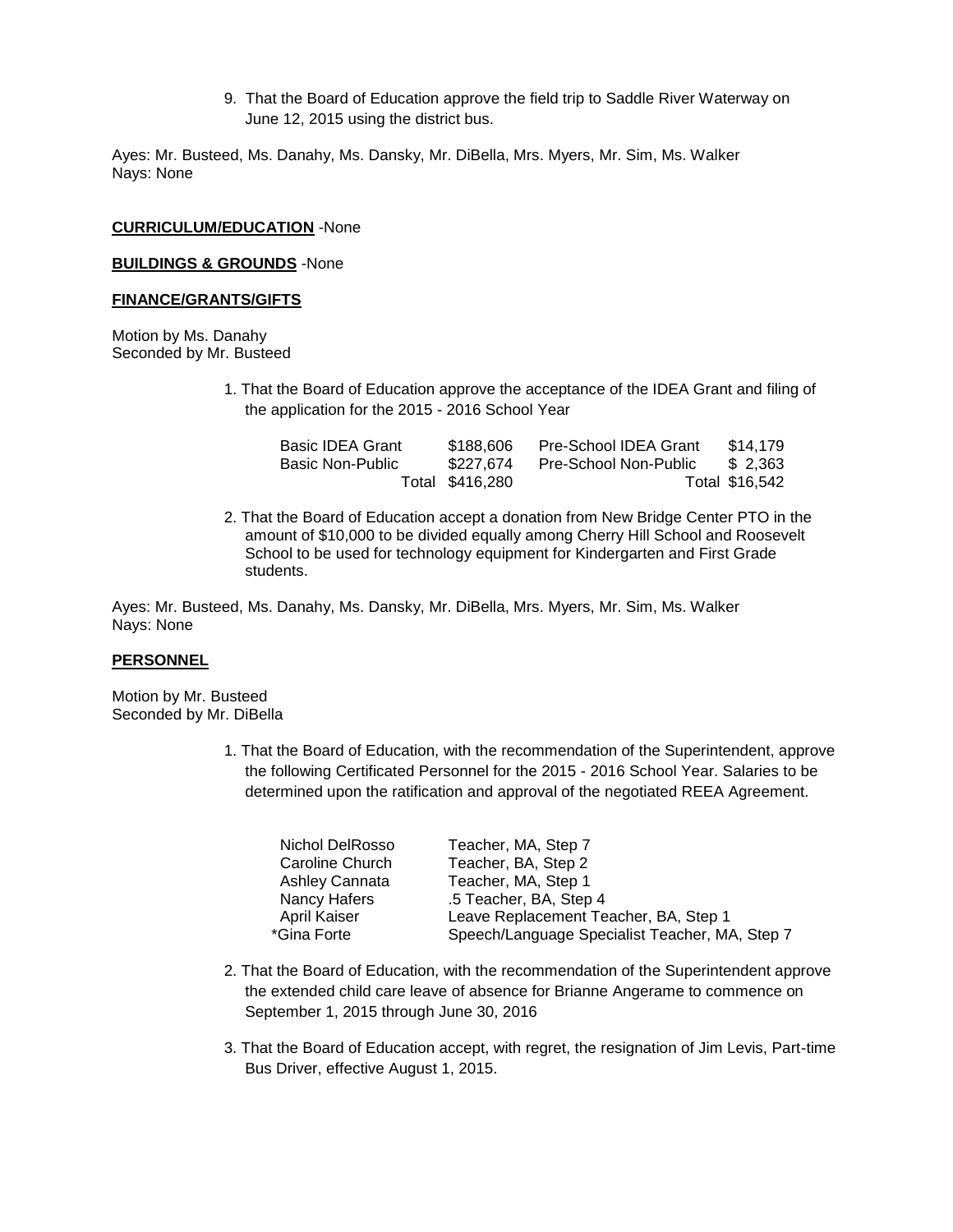9. That the Board of Education approve the field trip to Saddle River Waterway on June 12, 2015 using the district bus.

Ayes: Mr. Busteed, Ms. Danahy, Ms. Dansky, Mr. DiBella, Mrs. Myers, Mr. Sim, Ms. Walker Nays: None

#### **CURRICULUM/EDUCATION** -None

#### **BUILDINGS & GROUNDS** -None

#### **FINANCE/GRANTS/GIFTS**

Motion by Ms. Danahy Seconded by Mr. Busteed

> 1. That the Board of Education approve the acceptance of the IDEA Grant and filing of the application for the 2015 - 2016 School Year

| <b>Basic IDEA Grant</b> | \$188,606       | Pre-School IDEA Grant | \$14,179       |
|-------------------------|-----------------|-----------------------|----------------|
| <b>Basic Non-Public</b> | \$227.674       | Pre-School Non-Public | \$2.363        |
|                         | Total \$416,280 |                       | Total \$16,542 |

2. That the Board of Education accept a donation from New Bridge Center PTO in the amount of \$10,000 to be divided equally among Cherry Hill School and Roosevelt School to be used for technology equipment for Kindergarten and First Grade students.

Ayes: Mr. Busteed, Ms. Danahy, Ms. Dansky, Mr. DiBella, Mrs. Myers, Mr. Sim, Ms. Walker Nays: None

#### **PERSONNEL**

Motion by Mr. Busteed Seconded by Mr. DiBella

> 1. That the Board of Education, with the recommendation of the Superintendent, approve the following Certificated Personnel for the 2015 - 2016 School Year. Salaries to be determined upon the ratification and approval of the negotiated REEA Agreement.

| Nichol DelRosso | Teacher, MA, Step 7                            |
|-----------------|------------------------------------------------|
| Caroline Church | Teacher, BA, Step 2                            |
| Ashley Cannata  | Teacher, MA, Step 1                            |
| Nancy Hafers    | .5 Teacher, BA, Step 4                         |
| April Kaiser    | Leave Replacement Teacher, BA, Step 1          |
| *Gina Forte     | Speech/Language Specialist Teacher, MA, Step 7 |

- 2. That the Board of Education, with the recommendation of the Superintendent approve the extended child care leave of absence for Brianne Angerame to commence on September 1, 2015 through June 30, 2016
- 3. That the Board of Education accept, with regret, the resignation of Jim Levis, Part-time Bus Driver, effective August 1, 2015.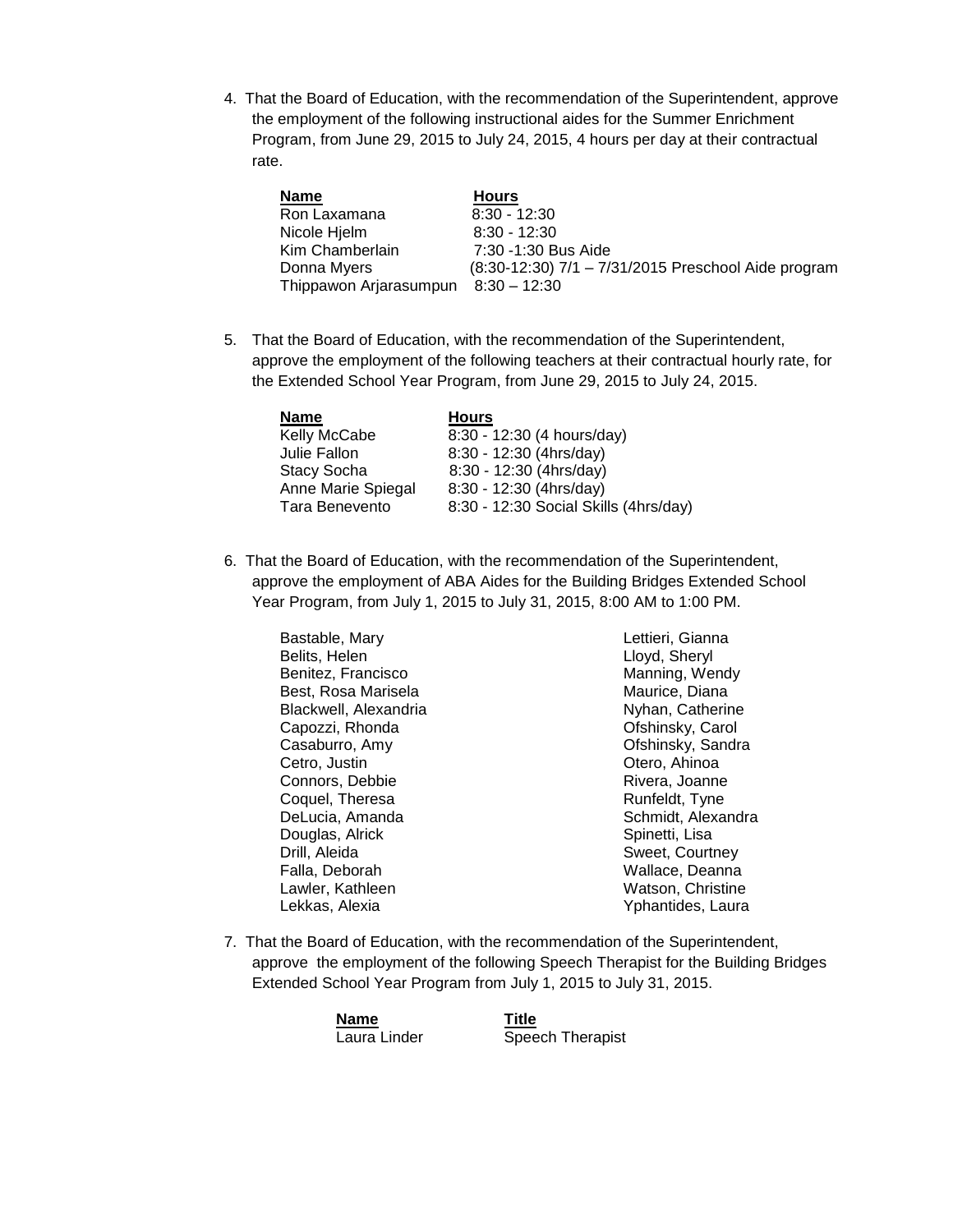4. That the Board of Education, with the recommendation of the Superintendent, approve the employment of the following instructional aides for the Summer Enrichment Program, from June 29, 2015 to July 24, 2015, 4 hours per day at their contractual rate.

| <b>Name</b>            | <b>Hours</b>                                        |
|------------------------|-----------------------------------------------------|
| Ron Laxamana           | $8:30 - 12:30$                                      |
| Nicole Hjelm           | $8:30 - 12:30$                                      |
| Kim Chamberlain        | 7:30 -1:30 Bus Aide                                 |
| Donna Myers            | (8:30-12:30) 7/1 - 7/31/2015 Preschool Aide program |
| Thippawon Arjarasumpun | $8:30 - 12:30$                                      |

5. That the Board of Education, with the recommendation of the Superintendent, approve the employment of the following teachers at their contractual hourly rate, for the Extended School Year Program, from June 29, 2015 to July 24, 2015.

| <b>Name</b>        | <b>Hours</b>                          |
|--------------------|---------------------------------------|
| Kelly McCabe       | 8:30 - 12:30 (4 hours/day)            |
| Julie Fallon       | 8:30 - 12:30 (4hrs/day)               |
| <b>Stacy Socha</b> | 8:30 - 12:30 (4hrs/day)               |
| Anne Marie Spiegal | 8:30 - 12:30 (4hrs/day)               |
| Tara Benevento     | 8:30 - 12:30 Social Skills (4hrs/day) |

6. That the Board of Education, with the recommendation of the Superintendent, approve the employment of ABA Aides for the Building Bridges Extended School Year Program, from July 1, 2015 to July 31, 2015, 8:00 AM to 1:00 PM.

Bastable, Mary Belits, Helen Benitez, Francisco Best, Rosa Marisela Blackwell, Alexandria Capozzi, Rhonda Casaburro, Amy Cetro, Justin Connors, Debbie Coquel, Theresa DeLucia, Amanda Douglas, Alrick Drill, Aleida Falla, Deborah Lawler, Kathleen Lekkas, Alexia

Lettieri, Gianna Lloyd, Sheryl Manning, Wendy Maurice, Diana Nyhan, Catherine Ofshinsky, Carol Ofshinsky, Sandra Otero, Ahinoa Rivera, Joanne Runfeldt, Tyne Schmidt, Alexandra Spinetti, Lisa Sweet, Courtney Wallace, Deanna Watson, Christine Yphantides, Laura

7. That the Board of Education, with the recommendation of the Superintendent, approve the employment of the following Speech Therapist for the Building Bridges Extended School Year Program from July 1, 2015 to July 31, 2015.

| <b>Name</b>  |  |
|--------------|--|
| Laura Linder |  |

**Name Title** Speech Therapist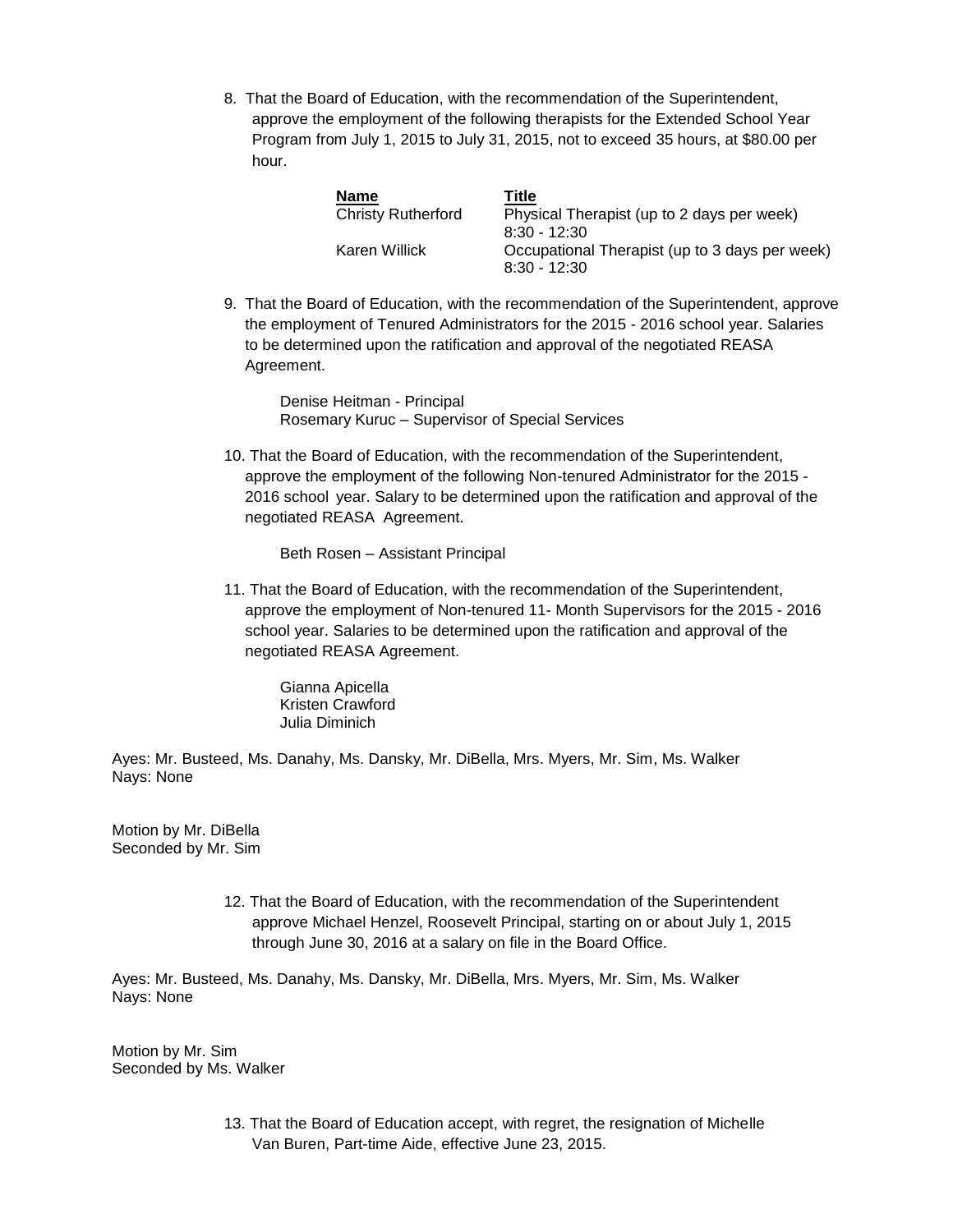8. That the Board of Education, with the recommendation of the Superintendent, approve the employment of the following therapists for the Extended School Year Program from July 1, 2015 to July 31, 2015, not to exceed 35 hours, at \$80.00 per hour.

| Name                      | Title                                          |
|---------------------------|------------------------------------------------|
| <b>Christy Rutherford</b> | Physical Therapist (up to 2 days per week)     |
|                           | $8:30 - 12:30$                                 |
| Karen Willick             | Occupational Therapist (up to 3 days per week) |
|                           | $8:30 - 12:30$                                 |

9. That the Board of Education, with the recommendation of the Superintendent, approve the employment of Tenured Administrators for the 2015 - 2016 school year. Salaries to be determined upon the ratification and approval of the negotiated REASA Agreement.

Denise Heitman - Principal Rosemary Kuruc – Supervisor of Special Services

10. That the Board of Education, with the recommendation of the Superintendent, approve the employment of the following Non-tenured Administrator for the 2015 - 2016 school year. Salary to be determined upon the ratification and approval of the negotiated REASA Agreement.

Beth Rosen – Assistant Principal

11. That the Board of Education, with the recommendation of the Superintendent, approve the employment of Non-tenured 11- Month Supervisors for the 2015 - 2016 school year. Salaries to be determined upon the ratification and approval of the negotiated REASA Agreement.

Gianna Apicella Kristen Crawford Julia Diminich

Ayes: Mr. Busteed, Ms. Danahy, Ms. Dansky, Mr. DiBella, Mrs. Myers, Mr. Sim, Ms. Walker Nays: None

Motion by Mr. DiBella Seconded by Mr. Sim

> 12. That the Board of Education, with the recommendation of the Superintendent approve Michael Henzel, Roosevelt Principal, starting on or about July 1, 2015 through June 30, 2016 at a salary on file in the Board Office.

Ayes: Mr. Busteed, Ms. Danahy, Ms. Dansky, Mr. DiBella, Mrs. Myers, Mr. Sim, Ms. Walker Nays: None

Motion by Mr. Sim Seconded by Ms. Walker

> 13. That the Board of Education accept, with regret, the resignation of Michelle Van Buren, Part-time Aide, effective June 23, 2015.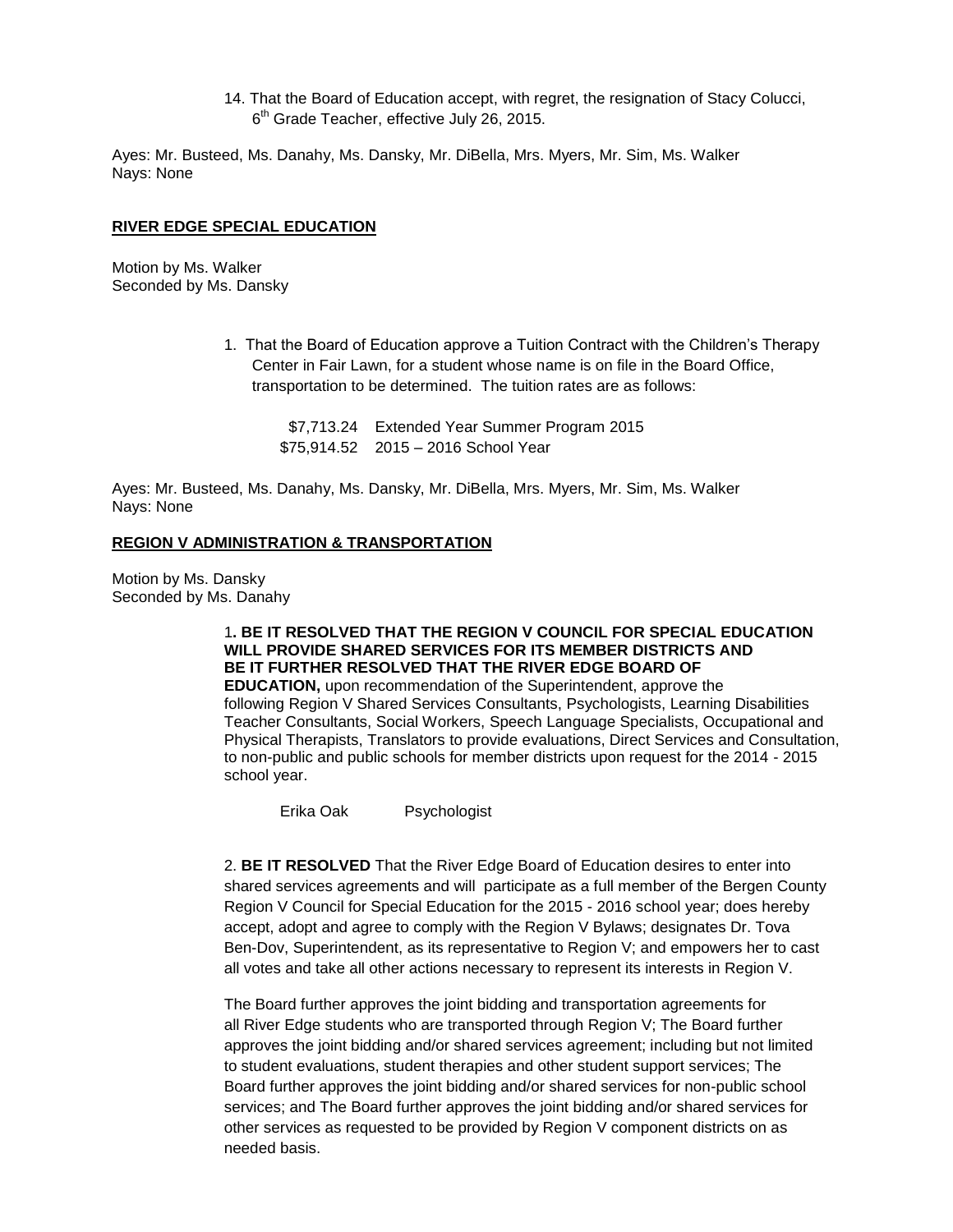14. That the Board of Education accept, with regret, the resignation of Stacy Colucci, 6<sup>th</sup> Grade Teacher, effective July 26, 2015.

Ayes: Mr. Busteed, Ms. Danahy, Ms. Dansky, Mr. DiBella, Mrs. Myers, Mr. Sim, Ms. Walker Nays: None

#### **RIVER EDGE SPECIAL EDUCATION**

Motion by Ms. Walker Seconded by Ms. Dansky

> 1. That the Board of Education approve a Tuition Contract with the Children's Therapy Center in Fair Lawn, for a student whose name is on file in the Board Office, transportation to be determined. The tuition rates are as follows:

 \$7,713.24 Extended Year Summer Program 2015 \$75,914.52 2015 – 2016 School Year

Ayes: Mr. Busteed, Ms. Danahy, Ms. Dansky, Mr. DiBella, Mrs. Myers, Mr. Sim, Ms. Walker Nays: None

#### **REGION V ADMINISTRATION & TRANSPORTATION**

Motion by Ms. Dansky Seconded by Ms. Danahy

### 1**. BE IT RESOLVED THAT THE REGION V COUNCIL FOR SPECIAL EDUCATION WILL PROVIDE SHARED SERVICES FOR ITS MEMBER DISTRICTS AND BE IT FURTHER RESOLVED THAT THE RIVER EDGE BOARD OF**

**EDUCATION,** upon recommendation of the Superintendent, approve the following Region V Shared Services Consultants, Psychologists, Learning Disabilities Teacher Consultants, Social Workers, Speech Language Specialists, Occupational and Physical Therapists, Translators to provide evaluations, Direct Services and Consultation, to non-public and public schools for member districts upon request for the 2014 - 2015 school year.

Erika Oak Psychologist

2. **BE IT RESOLVED** That the River Edge Board of Education desires to enter into shared services agreements and will participate as a full member of the Bergen County Region V Council for Special Education for the 2015 - 2016 school year; does hereby accept, adopt and agree to comply with the Region V Bylaws; designates Dr. Tova Ben-Dov, Superintendent, as its representative to Region V; and empowers her to cast all votes and take all other actions necessary to represent its interests in Region V.

The Board further approves the joint bidding and transportation agreements for all River Edge students who are transported through Region V; The Board further approves the joint bidding and/or shared services agreement; including but not limited to student evaluations, student therapies and other student support services; The Board further approves the joint bidding and/or shared services for non-public school services; and The Board further approves the joint bidding and/or shared services for other services as requested to be provided by Region V component districts on as needed basis.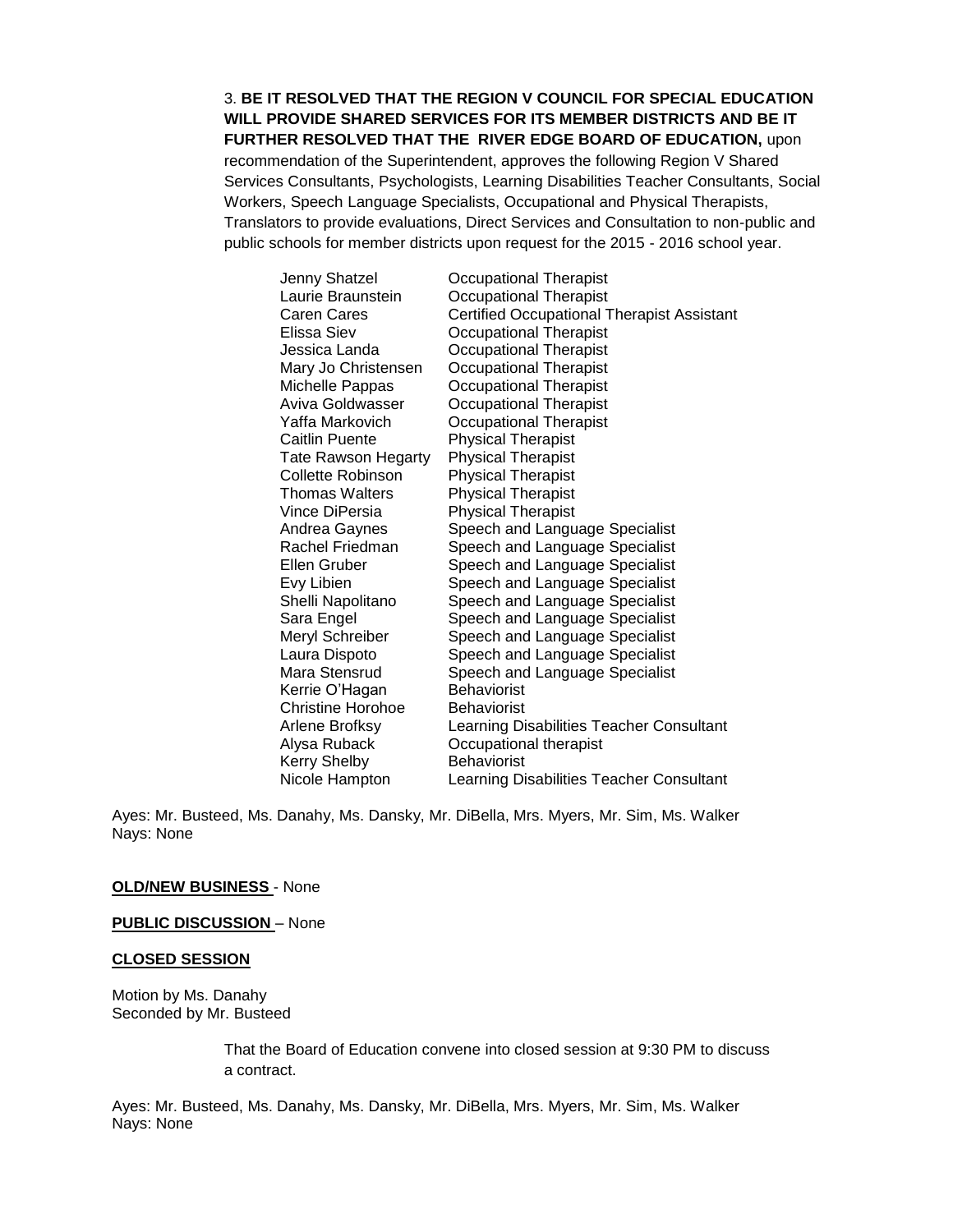3. **BE IT RESOLVED THAT THE REGION V COUNCIL FOR SPECIAL EDUCATION WILL PROVIDE SHARED SERVICES FOR ITS MEMBER DISTRICTS AND BE IT FURTHER RESOLVED THAT THE RIVER EDGE BOARD OF EDUCATION,** upon recommendation of the Superintendent, approves the following Region V Shared Services Consultants, Psychologists, Learning Disabilities Teacher Consultants, Social Workers, Speech Language Specialists, Occupational and Physical Therapists, Translators to provide evaluations, Direct Services and Consultation to non-public and public schools for member districts upon request for the 2015 - 2016 school year.

| Jenny Shatzel            | <b>Occupational Therapist</b>                     |
|--------------------------|---------------------------------------------------|
| Laurie Braunstein        | Occupational Therapist                            |
| Caren Cares              | <b>Certified Occupational Therapist Assistant</b> |
| Elissa Siev              | <b>Occupational Therapist</b>                     |
| Jessica Landa            | <b>Occupational Therapist</b>                     |
| Mary Jo Christensen      | <b>Occupational Therapist</b>                     |
| Michelle Pappas          | <b>Occupational Therapist</b>                     |
| Aviva Goldwasser         | <b>Occupational Therapist</b>                     |
| Yaffa Markovich          | <b>Occupational Therapist</b>                     |
| Caitlin Puente           | <b>Physical Therapist</b>                         |
| Tate Rawson Hegarty      | <b>Physical Therapist</b>                         |
| Collette Robinson        | <b>Physical Therapist</b>                         |
| Thomas Walters           | <b>Physical Therapist</b>                         |
| Vince DiPersia           | <b>Physical Therapist</b>                         |
| Andrea Gaynes            | Speech and Language Specialist                    |
| Rachel Friedman          | Speech and Language Specialist                    |
| Ellen Gruber             | Speech and Language Specialist                    |
| Evy Libien               | Speech and Language Specialist                    |
| Shelli Napolitano        | Speech and Language Specialist                    |
| Sara Engel               | Speech and Language Specialist                    |
| Meryl Schreiber          | Speech and Language Specialist                    |
| Laura Dispoto            | Speech and Language Specialist                    |
| Mara Stensrud            | Speech and Language Specialist                    |
| Kerrie O'Hagan           | <b>Behaviorist</b>                                |
| <b>Christine Horohoe</b> | <b>Behaviorist</b>                                |
| Arlene Brofksy           | Learning Disabilities Teacher Consultant          |
| Alysa Ruback             | Occupational therapist                            |
| Kerry Shelby             | <b>Behaviorist</b>                                |
| Nicole Hampton           | Learning Disabilities Teacher Consultant          |

Ayes: Mr. Busteed, Ms. Danahy, Ms. Dansky, Mr. DiBella, Mrs. Myers, Mr. Sim, Ms. Walker Nays: None

#### **OLD/NEW BUSINESS** - None

**PUBLIC DISCUSSION** – None

#### **CLOSED SESSION**

Motion by Ms. Danahy Seconded by Mr. Busteed

> That the Board of Education convene into closed session at 9:30 PM to discuss a contract.

Ayes: Mr. Busteed, Ms. Danahy, Ms. Dansky, Mr. DiBella, Mrs. Myers, Mr. Sim, Ms. Walker Nays: None